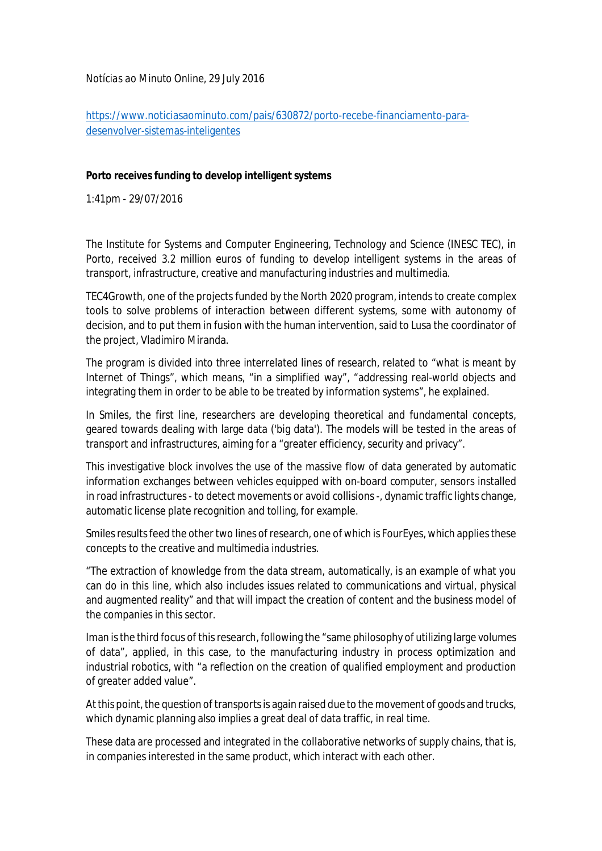*Notícias ao Minuto Online*, 29 July 2016

[https://www.noticiasaominuto.com/pais/630872/porto-recebe-financiamento-para](https://www.noticiasaominuto.com/pais/630872/porto-recebe-financiamento-para-)desenvolver-sistemas-inteligentes

## **Porto receives funding to develop intelligent systems**

1:41pm - 29/07/2016

The Institute for Systems and Computer Engineering, Technology and Science (INESC TEC), in Porto, received 3.2 million euros of funding to develop intelligent systems in the areas of transport, infrastructure, creative and manufacturing industries and multimedia.

TEC4Growth, one of the projects funded by the North 2020 program, intends to create complex tools to solve problems of interaction between different systems, some with autonomy of decision, and to put them in fusion with the human intervention, said to Lusa the coordinator of the project, Vladimiro Miranda.

The program is divided into three interrelated lines of research, related to "what is meant by Internet of Things", which means, "in a simplified way", "addressing real-world objects and integrating them in order to be able to be treated by information systems", he explained.

In Smiles, the first line, researchers are developing theoretical and fundamental concepts, geared towards dealing with large data ('big data'). The models will be tested in the areas of transport and infrastructures, aiming for a "greater efficiency, security and privacy".

This investigative block involves the use of the massive flow of data generated by automatic information exchanges between vehicles equipped with on-board computer, sensors installed in road infrastructures - to detect movements or avoid collisions -, dynamic traffic lights change, automatic license plate recognition and tolling, for example.

Smiles results feed the other two lines of research, one of which is FourEyes, which applies these concepts to the creative and multimedia industries.

"The extraction of knowledge from the data stream, automatically, is an example of what you can do in this line, which also includes issues related to communications and virtual, physical and augmented reality" and that will impact the creation of content and the business model of the companies in this sector.

Iman is the third focus of this research, following the "same philosophy of utilizing large volumes of data", applied, in this case, to the manufacturing industry in process optimization and industrial robotics, with "a reflection on the creation of qualified employment and production of greater added value".

At this point, the question of transportsis again raised due to the movement of goods and trucks, which dynamic planning also implies a great deal of data traffic, in real time.

These data are processed and integrated in the collaborative networks of supply chains, that is, in companies interested in the same product, which interact with each other.